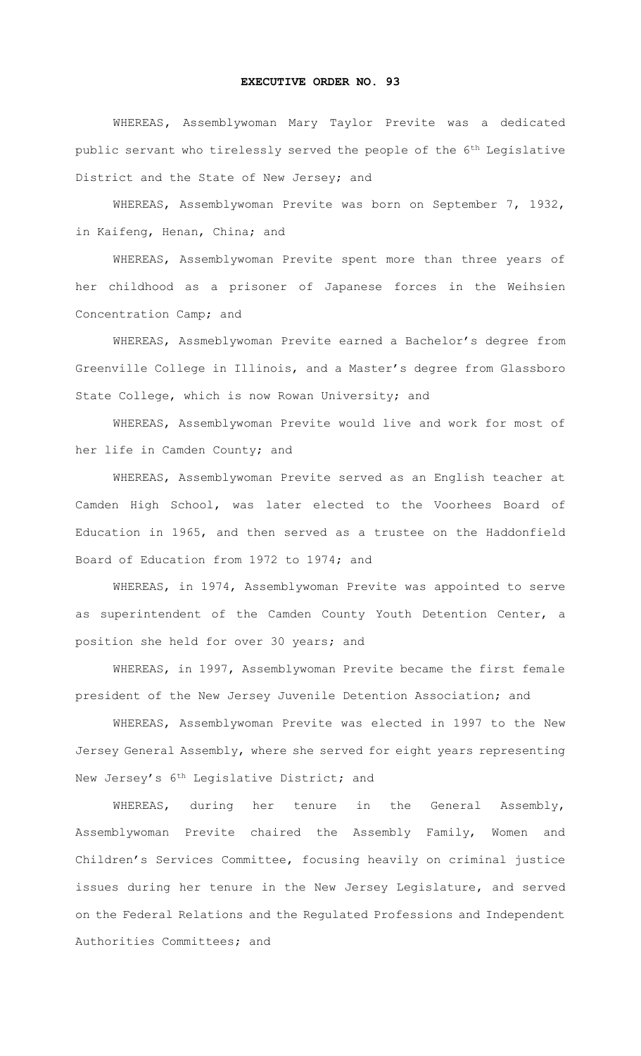## **EXECUTIVE ORDER NO. 93**

WHEREAS**,** Assemblywoman Mary Taylor Previte was a dedicated public servant who tirelessly served the people of the 6th Legislative District and the State of New Jersey; and

WHEREAS, Assemblywoman Previte was born on September 7, 1932, in Kaifeng, Henan, China; and

WHEREAS, Assemblywoman Previte spent more than three years of her childhood as a prisoner of Japanese forces in the Weihsien Concentration Camp; and

WHEREAS, Assmeblywoman Previte earned a Bachelor's degree from Greenville College in Illinois, and a Master's degree from Glassboro State College, which is now Rowan University; and

WHEREAS, Assemblywoman Previte would live and work for most of her life in Camden County; and

WHEREAS, Assemblywoman Previte served as an English teacher at Camden High School, was later elected to the Voorhees Board of Education in 1965, and then served as a trustee on the Haddonfield Board of Education from 1972 to 1974; and

WHEREAS, in 1974, Assemblywoman Previte was appointed to serve as superintendent of the Camden County Youth Detention Center, a position she held for over 30 years; and

WHEREAS, in 1997, Assemblywoman Previte became the first female president of the New Jersey Juvenile Detention Association; and

WHEREAS, Assemblywoman Previte was elected in 1997 to the New Jersey General Assembly, where she served for eight years representing New Jersey's 6th Legislative District; and

WHEREAS, during her tenure in the General Assembly, Assemblywoman Previte chaired the Assembly Family, Women and Children's Services Committee, focusing heavily on criminal justice issues during her tenure in the New Jersey Legislature, and served on the Federal Relations and the Regulated Professions and Independent Authorities Committees; and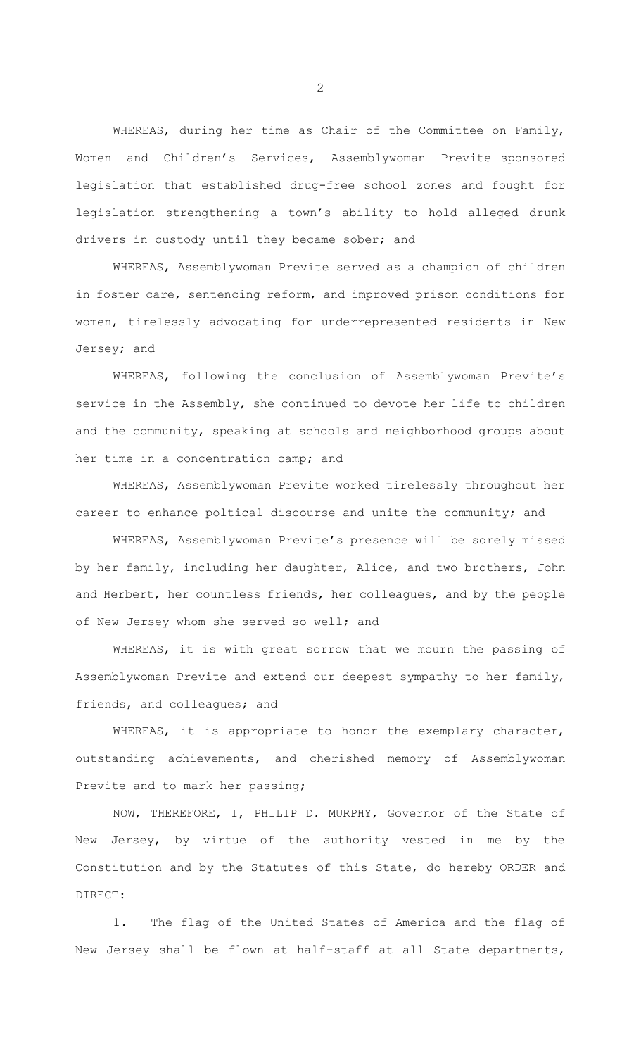WHEREAS, during her time as Chair of the Committee on Family, Women and Children's Services, Assemblywoman Previte sponsored legislation that established drug-free school zones and fought for legislation strengthening a town's ability to hold alleged drunk drivers in custody until they became sober; and

WHEREAS, Assemblywoman Previte served as a champion of children in foster care, sentencing reform, and improved prison conditions for women, tirelessly advocating for underrepresented residents in New Jersey; and

WHEREAS, following the conclusion of Assemblywoman Previte's service in the Assembly, she continued to devote her life to children and the community, speaking at schools and neighborhood groups about her time in a concentration camp; and

WHEREAS, Assemblywoman Previte worked tirelessly throughout her career to enhance poltical discourse and unite the community; and

WHEREAS, Assemblywoman Previte's presence will be sorely missed by her family, including her daughter, Alice, and two brothers, John and Herbert, her countless friends, her colleagues, and by the people of New Jersey whom she served so well; and

WHEREAS, it is with great sorrow that we mourn the passing of Assemblywoman Previte and extend our deepest sympathy to her family, friends, and colleagues; and

WHEREAS, it is appropriate to honor the exemplary character, outstanding achievements, and cherished memory of Assemblywoman Previte and to mark her passing;

NOW, THEREFORE, I, PHILIP D. MURPHY, Governor of the State of New Jersey, by virtue of the authority vested in me by the Constitution and by the Statutes of this State, do hereby ORDER and DIRECT:

1. The flag of the United States of America and the flag of New Jersey shall be flown at half-staff at all State departments,

2